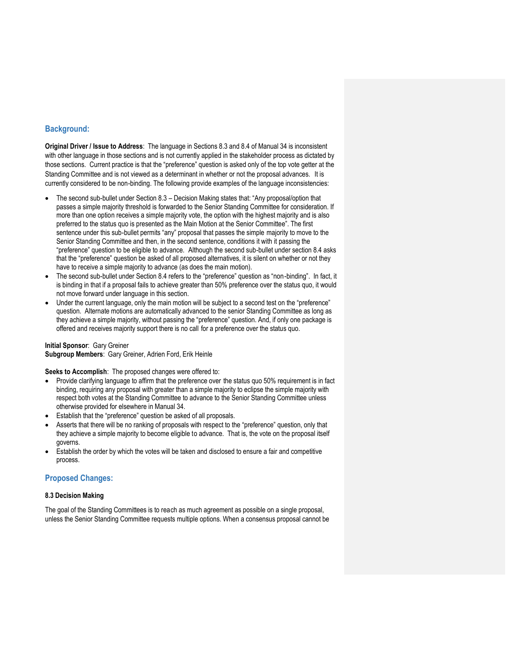## **Background:**

**Original Driver / Issue to Address**: The language in Sections 8.3 and 8.4 of Manual 34 is inconsistent with other language in those sections and is not currently applied in the stakeholder process as dictated by those sections. Current practice is that the "preference" question is asked only of the top vote getter at the Standing Committee and is not viewed as a determinant in whether or not the proposal advances. It is currently considered to be non-binding. The following provide examples of the language inconsistencies:

- The second sub-bullet under Section 8.3 Decision Making states that: "Any proposal/option that passes a simple majority threshold is forwarded to the Senior Standing Committee for consideration. If more than one option receives a simple majority vote, the option with the highest majority and is also preferred to the status quo is presented as the Main Motion at the Senior Committee". The first sentence under this sub-bullet permits "any" proposal that passes the simple majority to move to the Senior Standing Committee and then, in the second sentence, conditions it with it passing the "preference" question to be eligible to advance. Although the second sub-bullet under section 8.4 asks that the "preference" question be asked of all proposed alternatives, it is silent on whether or not they have to receive a simple majority to advance (as does the main motion).
- The second sub-bullet under Section 8.4 refers to the "preference" question as "non-binding". In fact, it is binding in that if a proposal fails to achieve greater than 50% preference over the status quo, it would not move forward under language in this section.
- Under the current language, only the main motion will be subject to a second test on the "preference" question. Alternate motions are automatically advanced to the senior Standing Committee as long as they achieve a simple majority, without passing the "preference" question. And, if only one package is offered and receives majority support there is no call for a preference over the status quo.

**Initial Sponsor**: Gary Greiner **Subgroup Members**: Gary Greiner, Adrien Ford, Erik Heinle

**Seeks to Accomplish**: The proposed changes were offered to:

- Provide clarifying language to affirm that the preference over the status quo 50% requirement is in fact binding, requiring any proposal with greater than a simple majority to eclipse the simple majority with respect both votes at the Standing Committee to advance to the Senior Standing Committee unless otherwise provided for elsewhere in Manual 34.
- Establish that the "preference" question be asked of all proposals.
- Asserts that there will be no ranking of proposals with respect to the "preference" question, only that they achieve a simple majority to become eligible to advance. That is, the vote on the proposal itself governs.
- Establish the order by which the votes will be taken and disclosed to ensure a fair and competitive process.

## **Proposed Changes:**

## **8.3 Decision Making**

The goal of the Standing Committees is to reach as much agreement as possible on a single proposal, unless the Senior Standing Committee requests multiple options. When a consensus proposal cannot be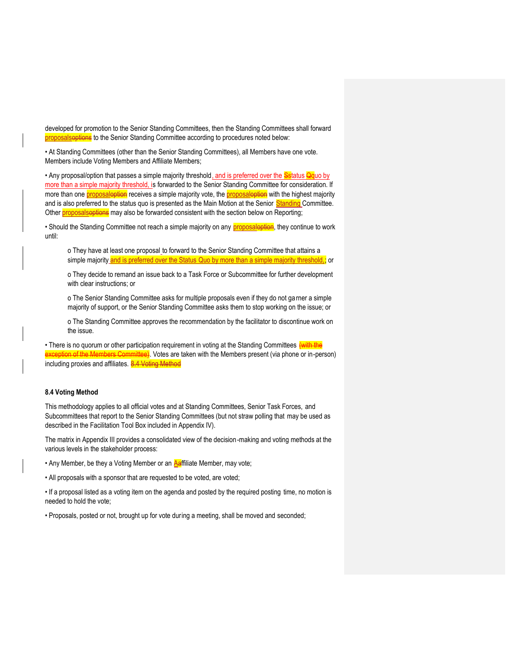developed for promotion to the Senior Standing Committees, then the Standing Committees shall forward proposalsoptions to the Senior Standing Committee according to procedures noted below:

• At Standing Committees (other than the Senior Standing Committees), all Members have one vote. Members include Voting Members and Affiliate Members;

• Any proposal/option that passes a simple majority threshold<u>, and is preferred over the Sstatus Qquo by</u> more than a simple majority threshold, is forwarded to the Senior Standing Committee for consideration. If more than one proposaloption receives a simple majority vote, the proposaloption with the highest majority and is also preferred to the status quo is presented as the Main Motion at the Senior Standing Committee. Other **proposalsoptions** may also be forwarded consistent with the section below on Reporting;

• Should the Standing Committee not reach a simple majority on any **proposaloption**, they continue to work until:

o They have at least one proposal to forward to the Senior Standing Committee that attains a simple majority and is preferred over the Status Quo by more than a simple majority threshold,; or

o They decide to remand an issue back to a Task Force or Subcommittee for further development with clear instructions; or

o The Senior Standing Committee asks for multiple proposals even if they do not garner a simple majority of support, or the Senior Standing Committee asks them to stop working on the issue; or

o The Standing Committee approves the recommendation by the facilitator to discontinue work on the issue.

• There is no quorum or other participation requirement in voting at the Standing Committees *(with the* ion of the Members Committee). Votes are taken with the Members present (via phone or in-person) including proxies and affiliates. 8.4 Voting Method

## **8.4 Voting Method**

This methodology applies to all official votes and at Standing Committees, Senior Task Forces, and Subcommittees that report to the Senior Standing Committees (but not straw polling that may be used as described in the Facilitation Tool Box included in Appendix IV).

The matrix in Appendix III provides a consolidated view of the decision-making and voting methods at the various levels in the stakeholder process:

• Any Member, be they a Voting Member or an **Aaffiliate Member, may vote;** 

• All proposals with a sponsor that are requested to be voted, are voted;

• If a proposal listed as a voting item on the agenda and posted by the required posting time, no motion is needed to hold the vote;

• Proposals, posted or not, brought up for vote during a meeting, shall be moved and seconded;